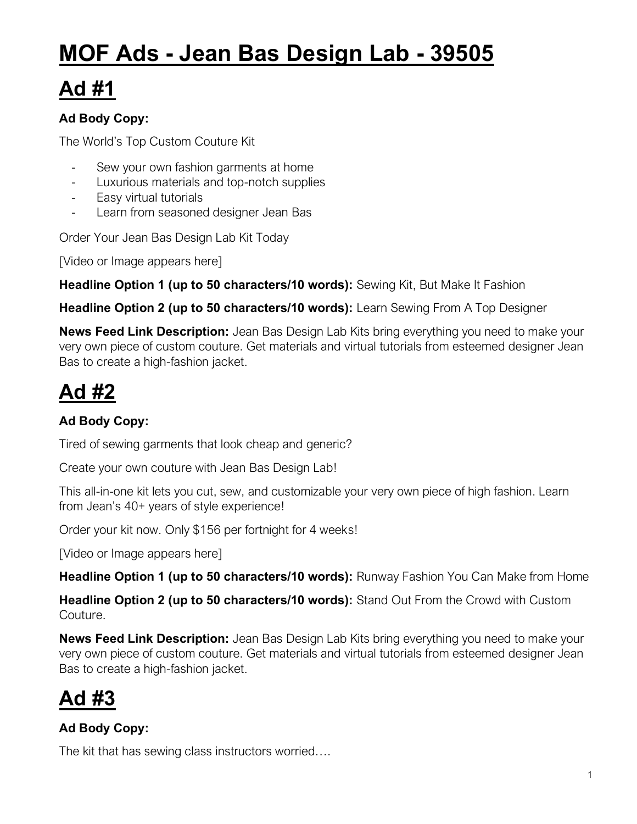# **MOF Ads - Jean Bas Design Lab - 39505**

## **Ad #1**

#### **Ad Body Copy:**

The World's Top Custom Couture Kit

- Sew your own fashion garments at home
- Luxurious materials and top-notch supplies
- Easy virtual tutorials
- Learn from seasoned designer Jean Bas

Order Your Jean Bas Design Lab Kit Today

[Video or Image appears here]

**Headline Option 1 (up to 50 characters/10 words):** Sewing Kit, But Make It Fashion

**Headline Option 2 (up to 50 characters/10 words):** Learn Sewing From A Top Designer

**News Feed Link Description:** Jean Bas Design Lab Kits bring everything you need to make your very own piece of custom couture. Get materials and virtual tutorials from esteemed designer Jean Bas to create a high-fashion jacket.

### **Ad #2**

### **Ad Body Copy:**

Tired of sewing garments that look cheap and generic?

Create your own couture with Jean Bas Design Lab!

This all-in-one kit lets you cut, sew, and customizable your very own piece of high fashion. Learn from Jean's 40+ years of style experience!

Order your kit now. Only \$156 per fortnight for 4 weeks!

[Video or Image appears here]

**Headline Option 1 (up to 50 characters/10 words):** Runway Fashion You Can Make from Home

**Headline Option 2 (up to 50 characters/10 words):** Stand Out From the Crowd with Custom Couture.

**News Feed Link Description:** Jean Bas Design Lab Kits bring everything you need to make your very own piece of custom couture. Get materials and virtual tutorials from esteemed designer Jean Bas to create a high-fashion jacket.

### **Ad #3**

#### **Ad Body Copy:**

The kit that has sewing class instructors worried….